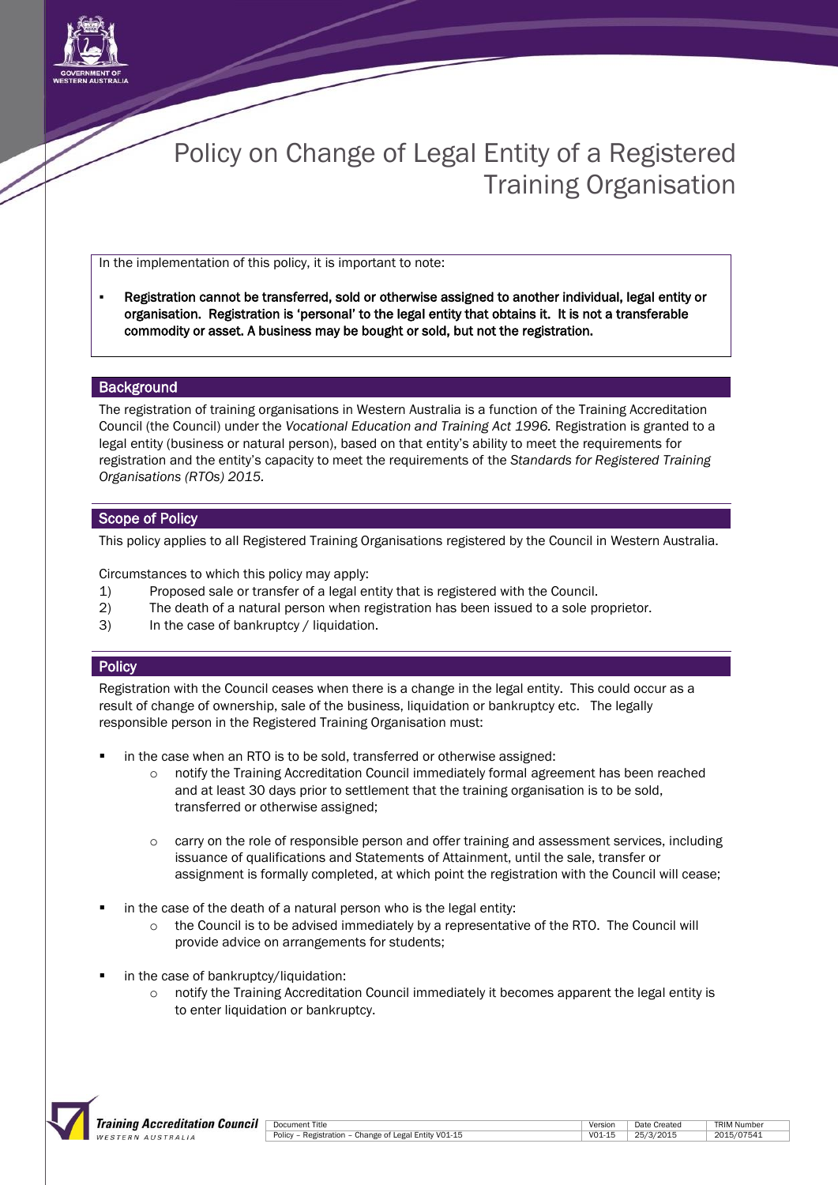

# Policy on Change of Legal Entity of a Registered Training Organisation

In the implementation of this policy, it is important to note:

 Registration cannot be transferred, sold or otherwise assigned to another individual, legal entity or organisation. Registration is 'personal' to the legal entity that obtains it. It is not a transferable commodity or asset. A business may be bought or sold, but not the registration.

#### **Background**

The registration of training organisations in Western Australia is a function of the Training Accreditation Council (the Council) under the *Vocational Education and Training Act 1996.* Registration is granted to a legal entity (business or natural person), based on that entity's ability to meet the requirements for registration and the entity's capacity to meet the requirements of the *Standards for Registered Training Organisations (RTOs) 2015.*

### Scope of Policy

This policy applies to all Registered Training Organisations registered by the Council in Western Australia.

Circumstances to which this policy may apply:

- 1) Proposed sale or transfer of a legal entity that is registered with the Council.
- 2) The death of a natural person when registration has been issued to a sole proprietor.
- 3) In the case of bankruptcy / liquidation.

## **Policy**

Registration with the Council ceases when there is a change in the legal entity. This could occur as a result of change of ownership, sale of the business, liquidation or bankruptcy etc. The legally responsible person in the Registered Training Organisation must:

- in the case when an RTO is to be sold, transferred or otherwise assigned:
	- o notify the Training Accreditation Council immediately formal agreement has been reached and at least 30 days prior to settlement that the training organisation is to be sold, transferred or otherwise assigned;
	- carry on the role of responsible person and offer training and assessment services, including issuance of qualifications and Statements of Attainment, until the sale, transfer or assignment is formally completed, at which point the registration with the Council will cease;
- in the case of the death of a natural person who is the legal entity:
	- $\circ$  the Council is to be advised immediately by a representative of the RTO. The Council will provide advice on arrangements for students;
- in the case of bankruptcy/liquidation:
	- notify the Training Accreditation Council immediately it becomes apparent the legal entity is to enter liquidation or bankruptcy.